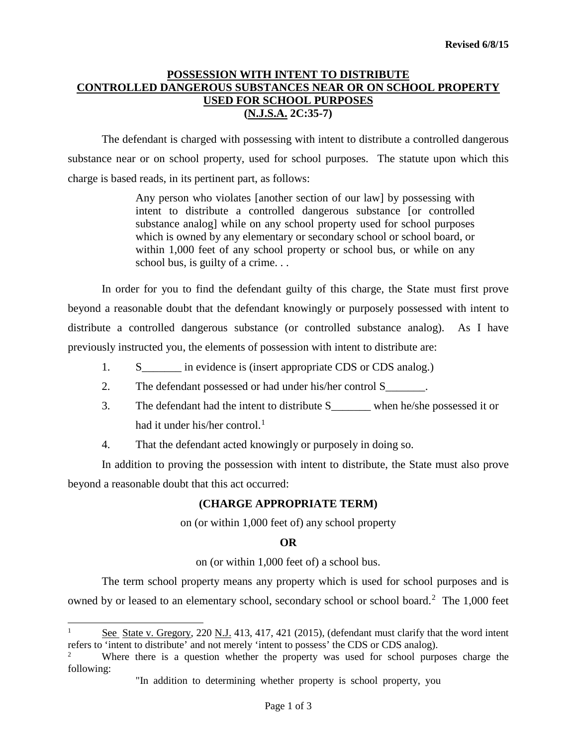## **POSSESSION WITH INTENT TO DISTRIBUTE CONTROLLED DANGEROUS SUBSTANCES NEAR OR ON SCHOOL PROPERTY USED FOR SCHOOL PURPOSES (N.J.S.A. 2C:35-7)**

The defendant is charged with possessing with intent to distribute a controlled dangerous substance near or on school property, used for school purposes. The statute upon which this charge is based reads, in its pertinent part, as follows:

> Any person who violates [another section of our law] by possessing with intent to distribute a controlled dangerous substance [or controlled substance analog] while on any school property used for school purposes which is owned by any elementary or secondary school or school board, or within 1,000 feet of any school property or school bus, or while on any school bus, is guilty of a crime. . .

In order for you to find the defendant guilty of this charge, the State must first prove beyond a reasonable doubt that the defendant knowingly or purposely possessed with intent to distribute a controlled dangerous substance (or controlled substance analog). As I have previously instructed you, the elements of possession with intent to distribute are:

- 1. S<sub>\_\_\_\_\_</sub> in evidence is (insert appropriate CDS or CDS analog.)
- 2. The defendant possessed or had under his/her control S\_\_\_\_\_\_\_.
- 3. The defendant had the intent to distribute S\_\_\_\_\_\_\_ when he/she possessed it or had it under his/her control. $<sup>1</sup>$  $<sup>1</sup>$  $<sup>1</sup>$ </sup>
- 4. That the defendant acted knowingly or purposely in doing so.

In addition to proving the possession with intent to distribute, the State must also prove beyond a reasonable doubt that this act occurred:

## **(CHARGE APPROPRIATE TERM)**

on (or within 1,000 feet of) any school property

#### **OR**

on (or within 1,000 feet of) a school bus.

The term school property means any property which is used for school purposes and is owned by or leased to an elementary school, secondary school or school board.<sup>[2](#page-0-1)</sup> The 1,000 feet

j

<span id="page-0-0"></span>See State v. Gregory, 220 N.J. 413, 417, 421 (2015), (defendant must clarify that the word intent refers to 'intent to distribute' and not merely 'intent to possess' the CDS or CDS analog).

<span id="page-0-1"></span>Where there is a question whether the property was used for school purposes charge the following:

<sup>&</sup>quot;In addition to determining whether property is school property, you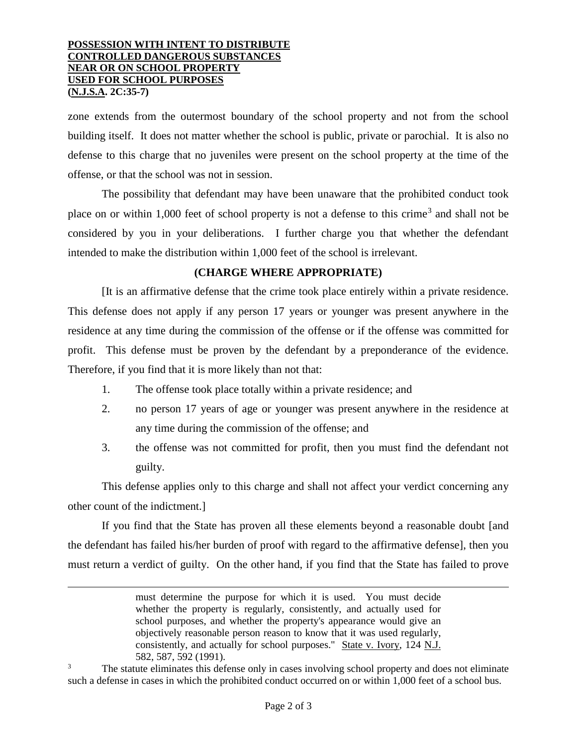#### **POSSESSION WITH INTENT TO DISTRIBUTE CONTROLLED DANGEROUS SUBSTANCES NEAR OR ON SCHOOL PROPERTY USED FOR SCHOOL PURPOSES (N.J.S.A. 2C:35-7)**

j

zone extends from the outermost boundary of the school property and not from the school building itself. It does not matter whether the school is public, private or parochial. It is also no defense to this charge that no juveniles were present on the school property at the time of the offense, or that the school was not in session.

The possibility that defendant may have been unaware that the prohibited conduct took place on or within 1,000 feet of school property is not a defense to this crime<sup>[3](#page-1-0)</sup> and shall not be considered by you in your deliberations. I further charge you that whether the defendant intended to make the distribution within 1,000 feet of the school is irrelevant.

# **(CHARGE WHERE APPROPRIATE)**

[It is an affirmative defense that the crime took place entirely within a private residence. This defense does not apply if any person 17 years or younger was present anywhere in the residence at any time during the commission of the offense or if the offense was committed for profit. This defense must be proven by the defendant by a preponderance of the evidence. Therefore, if you find that it is more likely than not that:

- 1. The offense took place totally within a private residence; and
- 2. no person 17 years of age or younger was present anywhere in the residence at any time during the commission of the offense; and
- 3. the offense was not committed for profit, then you must find the defendant not guilty.

This defense applies only to this charge and shall not affect your verdict concerning any other count of the indictment.]

If you find that the State has proven all these elements beyond a reasonable doubt [and the defendant has failed his/her burden of proof with regard to the affirmative defense], then you must return a verdict of guilty. On the other hand, if you find that the State has failed to prove

must determine the purpose for which it is used. You must decide whether the property is regularly, consistently, and actually used for school purposes, and whether the property's appearance would give an objectively reasonable person reason to know that it was used regularly, consistently, and actually for school purposes." State v. Ivory, 124 N.J. 582, 587, 592 (1991).

<span id="page-1-0"></span>The statute eliminates this defense only in cases involving school property and does not eliminate such a defense in cases in which the prohibited conduct occurred on or within 1,000 feet of a school bus.